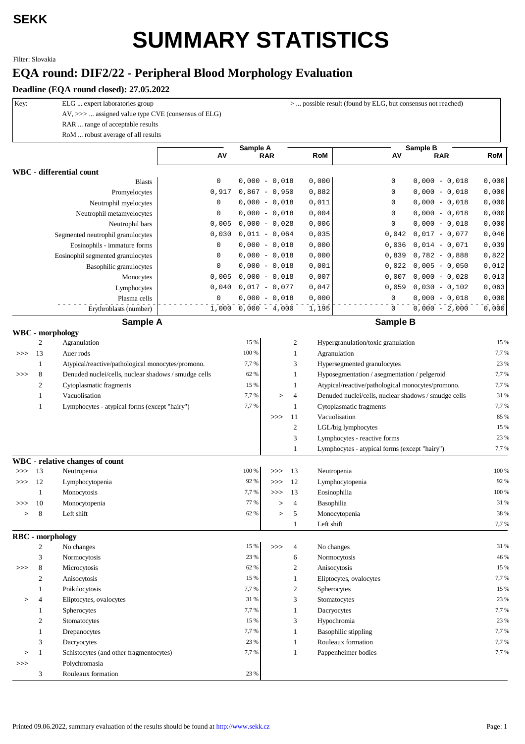## **SEKK**

## **SUMMARY STATISTICS**

Filter: Slovakia

## **EQA round: DIF2/22 - Peripheral Blood Morphology Evaluation**

**Deadline (EQA round closed): 27.05.2022**

| Key: |                  | ELG  expert laboratories group<br>AV, >>>  assigned value type CVE (consensus of ELG) |                     |                       | $>$ possible result (found by ELG, but consensus not reached) |                |               |                                                      |       |  |  |
|------|------------------|---------------------------------------------------------------------------------------|---------------------|-----------------------|---------------------------------------------------------------|----------------|---------------|------------------------------------------------------|-------|--|--|
|      |                  | RAR  range of acceptable results                                                      |                     |                       |                                                               |                |               |                                                      |       |  |  |
|      |                  | RoM  robust average of all results                                                    |                     |                       |                                                               |                |               |                                                      |       |  |  |
|      |                  |                                                                                       |                     | Sample A              |                                                               |                |               | Sample B                                             |       |  |  |
|      |                  |                                                                                       | AV                  |                       | <b>RAR</b>                                                    |                | RoM           | AV<br><b>RAR</b>                                     | RoM   |  |  |
|      |                  | WBC - differential count                                                              |                     |                       |                                                               |                |               |                                                      |       |  |  |
|      |                  | <b>Blasts</b>                                                                         | 0                   |                       | $0,000 - 0,018$                                               |                | 0,000         | 0<br>$0,000 - 0,018$                                 | 0,000 |  |  |
|      |                  | Promyelocytes                                                                         | 0,917               |                       | $0,867 - 0,950$                                               |                | 0,882         | $0,000 - 0,018$<br>0                                 | 0,000 |  |  |
|      |                  | Neutrophil myelocytes                                                                 | 0                   |                       | $0,000 - 0,018$                                               |                | 0,011         | 0<br>$0,000 - 0,018$                                 | 0,000 |  |  |
|      |                  | Neutrophil metamyelocytes                                                             | 0                   |                       | $0,000 - 0,018$                                               |                | 0,004         | 0<br>$0,000 - 0,018$                                 | 0,000 |  |  |
|      |                  | Neutrophil bars                                                                       | 0,005               |                       | $0,000 - 0,028$                                               |                | 0,006         | 0<br>$0,000 - 0,018$                                 | 0,000 |  |  |
|      |                  | Segmented neutrophil granulocytes                                                     | 0,030               |                       | $0,011 - 0,064$                                               |                | 0,035         | 0,042<br>$0,017 - 0,077$                             | 0,046 |  |  |
|      |                  | Eosinophils - immature forms                                                          | 0                   |                       | $0,000 - 0,018$                                               |                | 0,000         | $0,014 - 0,071$<br>0,036                             | 0,039 |  |  |
|      |                  | Eosinophil segmented granulocytes                                                     | 0                   |                       | $0,000 - 0,018$                                               |                | 0,000         | $0,782 - 0,888$<br>0,839                             | 0,822 |  |  |
|      |                  | Basophilic granulocytes                                                               | 0                   |                       | $0,000 - 0,018$                                               |                | 0,001         | 0,022<br>$0,005 - 0,050$                             | 0,012 |  |  |
|      |                  | Monocytes                                                                             | 0,005               |                       | $0,000 - 0,018$                                               |                | 0,007         | 0,007<br>$0,000 - 0,028$                             | 0,013 |  |  |
|      |                  | Lymphocytes                                                                           | 0,040               |                       | $0,017 - 0,077$                                               |                | 0,047         | $0,030 - 0,102$<br>0,059                             | 0,063 |  |  |
|      |                  | Plasma cells                                                                          | $\mathsf{O}\xspace$ |                       | $0,000 - 0,018$                                               |                | 0,000         | $0,000 - 0,018$<br>0                                 | 0,000 |  |  |
|      |                  | Erythroblasts (number)                                                                |                     | $1,000$ 0,000 - 4,000 |                                                               |                | 1,195         | $0,000 - 2,000$<br>0                                 | 0,000 |  |  |
|      |                  | Sample A                                                                              |                     |                       |                                                               |                |               | <b>Sample B</b>                                      |       |  |  |
|      |                  | <b>WBC</b> - morphology                                                               |                     |                       |                                                               |                |               |                                                      |       |  |  |
|      | $\mathfrak{2}$   | Agranulation                                                                          |                     | 15 %                  |                                                               | 2              |               | Hypergranulation/toxic granulation                   | 15 %  |  |  |
| >>   | 13               | Auer rods                                                                             |                     | 100 %                 |                                                               | 1              | Agranulation  |                                                      | 7,7%  |  |  |
|      | 1                | Atypical/reactive/pathological monocytes/promono.                                     |                     | 7,7 %                 |                                                               | 3              |               | Hypersegmented granulocytes                          | 23 %  |  |  |
| >>   | 8                | Denuded nuclei/cells, nuclear shadows / smudge cells                                  |                     | 62 %                  |                                                               | 1              |               | Hyposegmentation / asegmentation / pelgeroid         | 7,7%  |  |  |
|      | $\boldsymbol{2}$ | Cytoplasmatic fragments                                                               |                     | 15 %                  |                                                               | 1              |               | Atypical/reactive/pathological monocytes/promono.    | 7,7%  |  |  |
|      | $\mathbf{1}$     | Vacuolisation                                                                         |                     | 7,7 %                 | $\rm{~}$                                                      | $\overline{4}$ |               | Denuded nuclei/cells, nuclear shadows / smudge cells | 31 %  |  |  |
|      | $\mathbf{1}$     | Lymphocytes - atypical forms (except "hairy")                                         |                     | 7,7 %                 |                                                               | 1              |               | Cytoplasmatic fragments                              | 7,7%  |  |  |
|      |                  |                                                                                       |                     |                       | >>                                                            | -11            | Vacuolisation |                                                      | 85 %  |  |  |
|      |                  |                                                                                       |                     |                       |                                                               | $\mathbf{2}$   |               | LGL/big lymphocytes                                  | 15 %  |  |  |
|      |                  |                                                                                       |                     |                       |                                                               | 3              |               | Lymphocytes - reactive forms                         | 23 %  |  |  |
|      |                  |                                                                                       |                     |                       |                                                               | $\mathbf{1}$   |               | Lymphocytes - atypical forms (except "hairy")        | 7,7%  |  |  |
|      |                  | <b>WBC</b> - relative changes of count                                                |                     |                       |                                                               |                |               |                                                      |       |  |  |
| >>   | 13               | Neutropenia                                                                           |                     | 100 %                 | >>                                                            | -13            | Neutropenia   |                                                      | 100 % |  |  |
| >>   | 12               | Lymphocytopenia                                                                       |                     | 92 %                  | >>                                                            | 12             |               | Lymphocytopenia                                      | 92 %  |  |  |
|      | $\mathbf{1}$     | Monocytosis                                                                           |                     | 7,7 %                 | >>                                                            | 13             | Eosinophilia  |                                                      | 100 % |  |  |
| >>>  | 10               | Monocytopenia                                                                         |                     | 77 %                  | $\geq$                                                        | $\overline{4}$ | Basophilia    |                                                      | 31 %  |  |  |
| >    | 8                | Left shift                                                                            |                     | 62 %                  | >                                                             | 5              | Monocytopenia |                                                      | 38 %  |  |  |
|      |                  |                                                                                       |                     |                       |                                                               | $\mathbf{1}$   | Left shift    |                                                      | 7,7%  |  |  |
|      |                  | <b>RBC</b> - morphology                                                               |                     |                       |                                                               |                |               |                                                      |       |  |  |
|      | 2                | No changes                                                                            |                     | 15 %                  | >>                                                            | 4              | No changes    |                                                      | 31 %  |  |  |
|      | 3                | Normocytosis                                                                          |                     | 23 %                  |                                                               | 6              | Normocytosis  |                                                      | 46 %  |  |  |
| >>   | 8                | Microcytosis                                                                          |                     | 62 %                  |                                                               | 2              | Anisocytosis  |                                                      | 15 %  |  |  |
|      | 2                | Anisocytosis                                                                          |                     | 15 %                  |                                                               | 1              |               | Eliptocytes, ovalocytes                              | 7,7%  |  |  |
|      | 1                | Poikilocytosis                                                                        |                     | 7,7 %                 |                                                               | 2              | Spherocytes   |                                                      | 15 %  |  |  |
| >    | 4                | Eliptocytes, ovalocytes                                                               |                     | 31 %                  |                                                               | 3              | Stomatocytes  |                                                      | 23 %  |  |  |
|      | 1                | Spherocytes                                                                           |                     | 7,7 %                 |                                                               | 1              | Dacryocytes   |                                                      | 7,7%  |  |  |
|      | 2                | Stomatocytes                                                                          |                     | 15 %                  |                                                               | 3              | Hypochromia   |                                                      | 23 %  |  |  |
|      | 1                | Drepanocytes                                                                          |                     | 7,7 %                 |                                                               | 1              |               | <b>Basophilic stippling</b>                          | 7,7%  |  |  |
|      | 3                | Dacryocytes                                                                           |                     | 23 %                  |                                                               | 1              |               | Rouleaux formation                                   | 7,7%  |  |  |
| >    | 1                | Schistocytes (and other fragmentocytes)                                               |                     | 7,7 %                 |                                                               | 1              |               | Pappenheimer bodies                                  | 7,7%  |  |  |
| >>>  |                  | Polychromasia                                                                         |                     |                       |                                                               |                |               |                                                      |       |  |  |
|      | 3                | Rouleaux formation                                                                    |                     | 23 %                  |                                                               |                |               |                                                      |       |  |  |